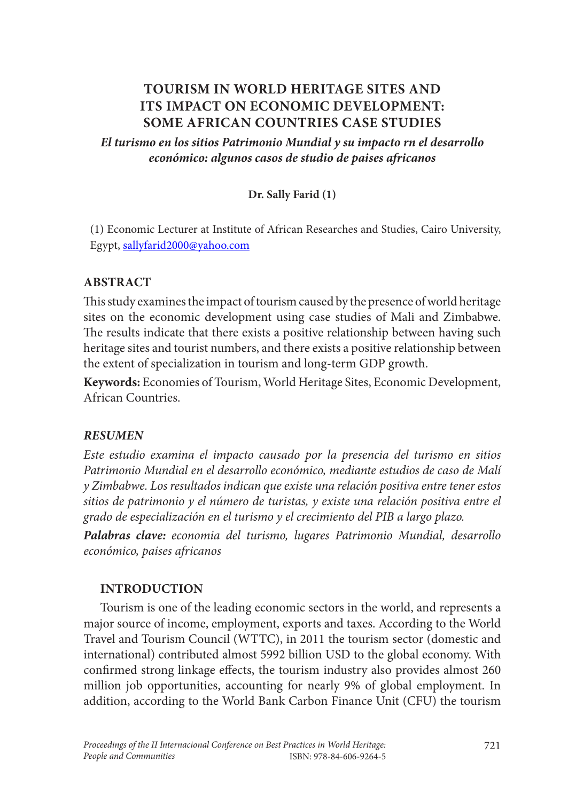# **TOURISM IN WORLD HERITAGE SITES AND ITS IMPACT ON ECONOMIC DEVELOPMENT: SOME AFRICAN COUNTRIES CASE STUDIES**

*El turismo en los sitios Patrimonio Mundial y su impacto rn el desarrollo económico: algunos casos de studio de paises africanos*

#### **Dr. Sally Farid (1)**

(1) Economic Lecturer at Institute of African Researches and Studies, Cairo University, Egypt, sallyfarid2000@yahoo.com

#### **ABSTRACT**

This study examines the impact of tourism caused by the presence of world heritage sites on the economic development using case studies of Mali and Zimbabwe. The results indicate that there exists a positive relationship between having such heritage sites and tourist numbers, and there exists a positive relationship between the extent of specialization in tourism and long-term GDP growth.

**Keywords:** Economies of Tourism, World Heritage Sites, Economic Development, African Countries.

#### *RESUMEN*

*Este estudio examina el impacto causado por la presencia del turismo en sitios Patrimonio Mundial en el desarrollo económico, mediante estudios de caso de Malí y Zimbabwe. Los resultados indican que existe una relación positiva entre tener estos sitios de patrimonio y el número de turistas, y existe una relación positiva entre el grado de especialización en el turismo y el crecimiento del PIB a largo plazo.*

*Palabras clave: economia del turismo, lugares Patrimonio Mundial, desarrollo económico, paises africanos*

#### **INTRODUCTION**

Tourism is one of the leading economic sectors in the world, and represents a major source of income, employment, exports and taxes. According to the World Travel and Tourism Council (WTTC), in 2011 the tourism sector (domestic and international) contributed almost 5992 billion USD to the global economy. With confirmed strong linkage effects, the tourism industry also provides almost 260 million job opportunities, accounting for nearly 9% of global employment. In addition, according to the World Bank Carbon Finance Unit (CFU) the tourism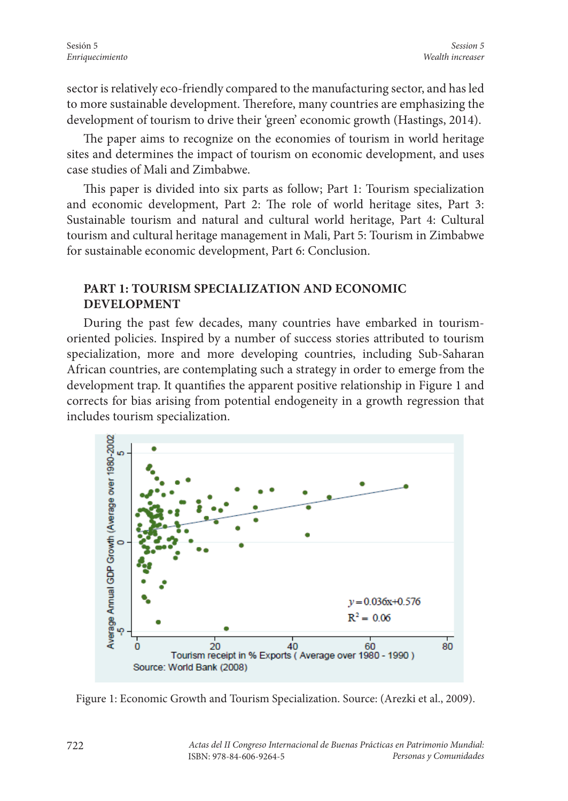sector is relatively eco-friendly compared to the manufacturing sector, and has led to more sustainable development. Therefore, many countries are emphasizing the development of tourism to drive their 'green' economic growth (Hastings, 2014).

The paper aims to recognize on the economies of tourism in world heritage sites and determines the impact of tourism on economic development, and uses case studies of Mali and Zimbabwe.

This paper is divided into six parts as follow; Part 1: Tourism specialization and economic development, Part 2: The role of world heritage sites, Part 3: Sustainable tourism and natural and cultural world heritage, Part 4: Cultural tourism and cultural heritage management in Mali, Part 5: Tourism in Zimbabwe for sustainable economic development, Part 6: Conclusion.

## **PART 1: TOURISM SPECIALIZATION AND ECONOMIC DEVELOPMENT**

During the past few decades, many countries have embarked in tourismoriented policies. Inspired by a number of success stories attributed to tourism specialization, more and more developing countries, including Sub-Saharan African countries, are contemplating such a strategy in order to emerge from the development trap. It quantifies the apparent positive relationship in Figure 1 and corrects for bias arising from potential endogeneity in a growth regression that includes tourism specialization.



Figure 1: Economic Growth and Tourism Specialization. Source: (Arezki et al., 2009).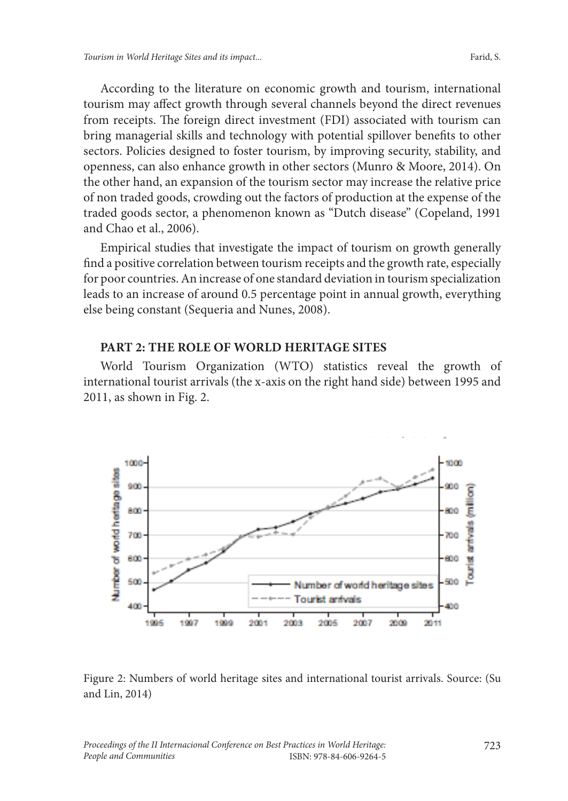According to the literature on economic growth and tourism, international tourism may affect growth through several channels beyond the direct revenues from receipts. The foreign direct investment (FDI) associated with tourism can bring managerial skills and technology with potential spillover benefits to other sectors. Policies designed to foster tourism, by improving security, stability, and openness, can also enhance growth in other sectors (Munro & Moore, 2014). On the other hand, an expansion of the tourism sector may increase the relative price of non traded goods, crowding out the factors of production at the expense of the traded goods sector, a phenomenon known as "Dutch disease" (Copeland, 1991 and Chao et al., 2006).

Empirical studies that investigate the impact of tourism on growth generally find a positive correlation between tourism receipts and the growth rate, especially for poor countries. An increase of one standard deviation in tourism specialization leads to an increase of around 0.5 percentage point in annual growth, everything else being constant (Sequeria and Nunes, 2008).

#### **PART 2: THE ROLE OF WORLD HERITAGE SITES**

World Tourism Organization (WTO) statistics reveal the growth of international tourist arrivals (the x-axis on the right hand side) between 1995 and 2011, as shown in Fig. 2.



Figure 2: Numbers of world heritage sites and international tourist arrivals. Source: (Su and Lin, 2014)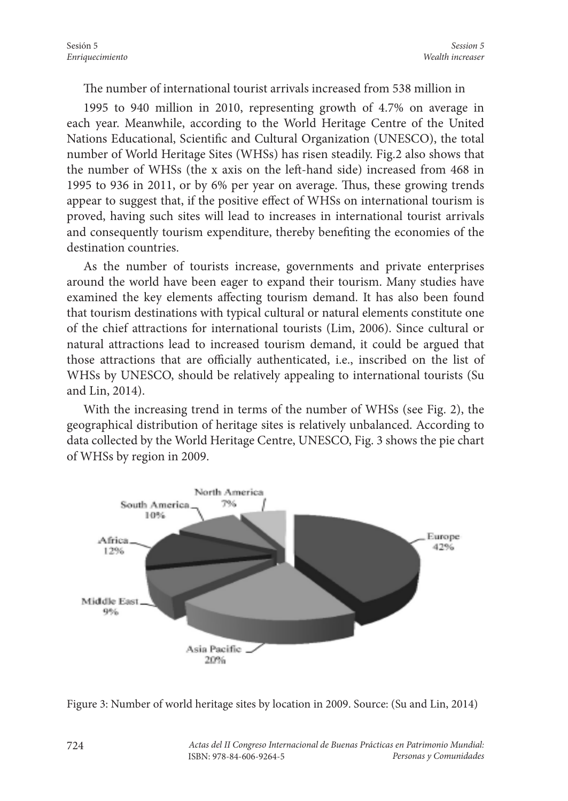The number of international tourist arrivals increased from 538 million in

1995 to 940 million in 2010, representing growth of 4.7% on average in each year. Meanwhile, according to the World Heritage Centre of the United Nations Educational, Scientific and Cultural Organization (UNESCO), the total number of World Heritage Sites (WHSs) has risen steadily. Fig.2 also shows that the number of WHSs (the x axis on the left-hand side) increased from 468 in 1995 to 936 in 2011, or by 6% per year on average. Thus, these growing trends appear to suggest that, if the positive effect of WHSs on international tourism is proved, having such sites will lead to increases in international tourist arrivals and consequently tourism expenditure, thereby benefiting the economies of the destination countries.

As the number of tourists increase, governments and private enterprises around the world have been eager to expand their tourism. Many studies have examined the key elements affecting tourism demand. It has also been found that tourism destinations with typical cultural or natural elements constitute one of the chief attractions for international tourists (Lim, 2006). Since cultural or natural attractions lead to increased tourism demand, it could be argued that those attractions that are officially authenticated, i.e., inscribed on the list of WHSs by UNESCO, should be relatively appealing to international tourists (Su and Lin, 2014).

With the increasing trend in terms of the number of WHSs (see Fig. 2), the geographical distribution of heritage sites is relatively unbalanced. According to data collected by the World Heritage Centre, UNESCO, Fig. 3 shows the pie chart of WHSs by region in 2009.



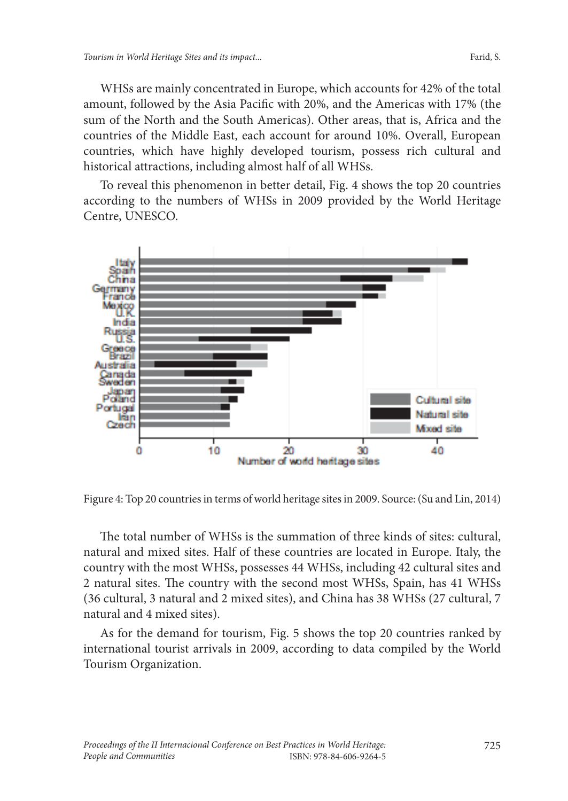WHSs are mainly concentrated in Europe, which accounts for 42% of the total amount, followed by the Asia Pacific with 20%, and the Americas with 17% (the sum of the North and the South Americas). Other areas, that is, Africa and the countries of the Middle East, each account for around 10%. Overall, European countries, which have highly developed tourism, possess rich cultural and historical attractions, including almost half of all WHSs.

To reveal this phenomenon in better detail, Fig. 4 shows the top 20 countries according to the numbers of WHSs in 2009 provided by the World Heritage Centre, UNESCO.



Figure 4: Top 20 countries in terms of world heritage sites in 2009. Source: (Su and Lin, 2014)

The total number of WHSs is the summation of three kinds of sites: cultural, natural and mixed sites. Half of these countries are located in Europe. Italy, the country with the most WHSs, possesses 44 WHSs, including 42 cultural sites and 2 natural sites. The country with the second most WHSs, Spain, has 41 WHSs (36 cultural, 3 natural and 2 mixed sites), and China has 38 WHSs (27 cultural, 7 natural and 4 mixed sites).

As for the demand for tourism, Fig. 5 shows the top 20 countries ranked by international tourist arrivals in 2009, according to data compiled by the World Tourism Organization.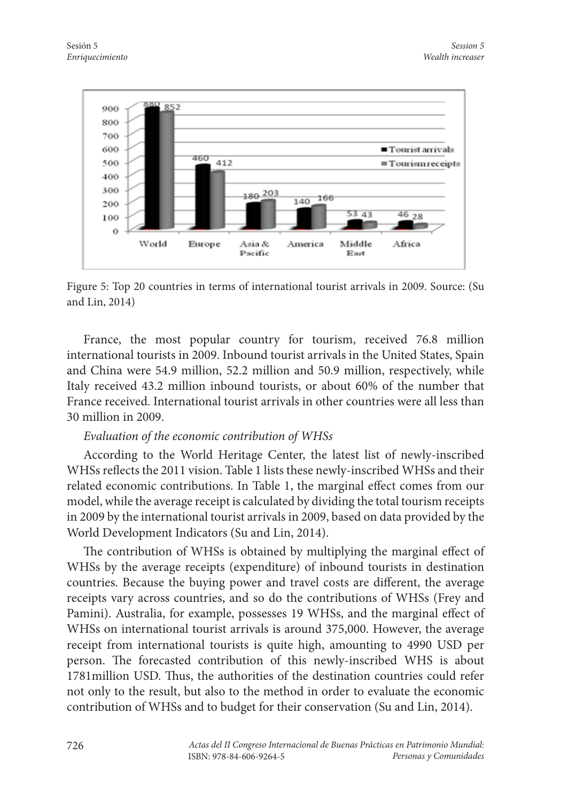

Figure 5: Top 20 countries in terms of international tourist arrivals in 2009. Source: (Su and Lin, 2014)

France, the most popular country for tourism, received 76.8 million international tourists in 2009. Inbound tourist arrivals in the United States, Spain and China were 54.9 million, 52.2 million and 50.9 million, respectively, while Italy received 43.2 million inbound tourists, or about 60% of the number that France received. International tourist arrivals in other countries were all less than 30 million in 2009.

#### *Evaluation of the economic contribution of WHSs*

According to the World Heritage Center, the latest list of newly-inscribed WHSs reflects the 2011 vision. Table 1 lists these newly-inscribed WHSs and their related economic contributions. In Table 1, the marginal effect comes from our model, while the average receipt is calculated by dividing the total tourism receipts in 2009 by the international tourist arrivals in 2009, based on data provided by the World Development Indicators (Su and Lin, 2014).

The contribution of WHSs is obtained by multiplying the marginal effect of WHSs by the average receipts (expenditure) of inbound tourists in destination countries. Because the buying power and travel costs are different, the average receipts vary across countries, and so do the contributions of WHSs (Frey and Pamini). Australia, for example, possesses 19 WHSs, and the marginal effect of WHSs on international tourist arrivals is around 375,000. However, the average receipt from international tourists is quite high, amounting to 4990 USD per person. The forecasted contribution of this newly-inscribed WHS is about 1781million USD. Thus, the authorities of the destination countries could refer not only to the result, but also to the method in order to evaluate the economic contribution of WHSs and to budget for their conservation (Su and Lin, 2014).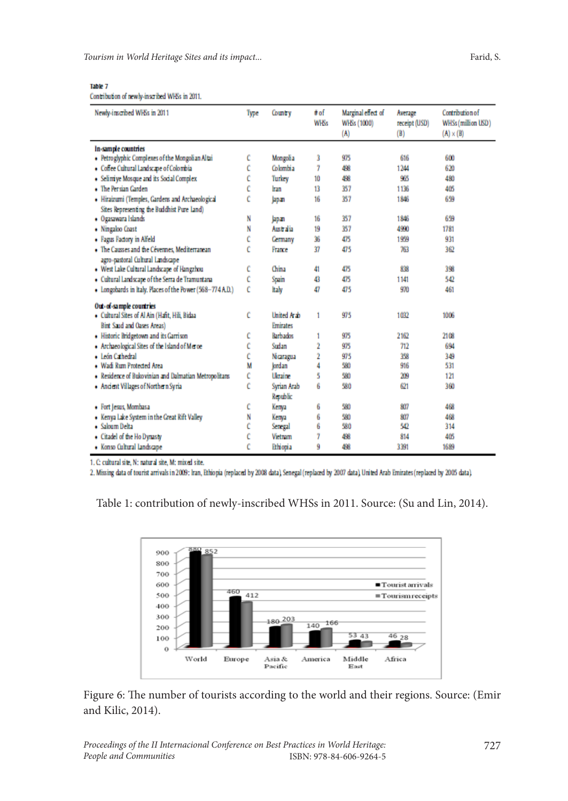*Tourism in World Heritage Sites and its impact...* Farid, S. Farid, S. Farid, S.

#### Table 7

Contribution of newly-inscribed WHSs in 2011.

| Newly-inscribed WHSs in 2011                              | Type | Country         | # of<br><b>WHSs</b> | Marginal effect of<br>WHSs (1000)<br>(A) | Average<br>receipt (USD)<br>(B) | Contribution of<br>WHSs (million USD)<br>$(A) \times (B)$ |
|-----------------------------------------------------------|------|-----------------|---------------------|------------------------------------------|---------------------------------|-----------------------------------------------------------|
| In-sample countries                                       |      |                 |                     |                                          |                                 |                                                           |
| · Petroglyphic Complexes of the Mongolian Altai           | c    | Mongolia        | 3                   | 975                                      | 616                             | 600                                                       |
| · Coffee Cultural Landscape of Colombia                   | Ċ    | Colombia        | 7                   | 498                                      | 1244                            | 620                                                       |
| • Selimiye Mosque and its Social Complex                  | Ĉ    | Turkey          | 10                  | 498                                      | 985                             | 480                                                       |
| • The Persian Garden                                      | Ĉ    | Iran            | 13                  | 357                                      | 1136                            | 405                                                       |
| • Hiraizumi (Temples, Gardens and Archaeological          | Ĉ    | Japan           | 16                  | 357                                      | 1846                            | 659                                                       |
| Sites Representing the Buddhist Pure land)                |      |                 |                     |                                          |                                 |                                                           |
| · Ogasawara Islands                                       | N    | lapan           | 16                  | 357                                      | 1846                            | 659                                                       |
| · Ningaloo Coast                                          | N    | Australia       | 19                  | 357                                      | 4990                            | 1781                                                      |
| · Fagus Factory in Alfeld                                 | Ĉ    | <b>Cermany</b>  | 36                  | 475                                      | 1999                            | 931                                                       |
| • The Causses and the Cévennes, Mediterranean             | Ĉ    | France          | 37                  | 475                                      | 763                             | 362                                                       |
| agro-pastoral Cultural Landscape                          |      |                 |                     |                                          |                                 |                                                           |
| • West Lake Cultural Landscape of Hangzhou                | c    | China           | 41                  | 475                                      | 838                             | 398                                                       |
| · Cultural Landscape of the Serra de Tramuntana           | c    | Spain           | 43                  | 475                                      | 1141                            | 542                                                       |
| . Longobards in Italy, Places of the Power (568-774 A.D.) | c    | ltaly           | 47                  | 475                                      | 970                             | 461                                                       |
| Out-of-sample countries                                   |      |                 |                     |                                          |                                 |                                                           |
| • Cultural Sites of Al Ain (Hafit, Hili, Bidaa            | c    | United Arab     | 1                   | 975                                      | 1032                            | 1006                                                      |
| Birt Said and Oases Areas)                                |      | <b>Emirates</b> |                     |                                          |                                 |                                                           |
| • Historic Bridgetown and its Garrison                    | c    | <b>Rarbados</b> | 1                   | 975                                      | 2162                            | 2108                                                      |
| Archaeological Sites of the Island of Merce               | c    | Sudan           | 2                   | 975                                      | 712                             | 694                                                       |
| · León Cathedral                                          | Ĉ    | Nicaragua       | 2                   | 975                                      | 358                             | 349                                                       |
| · Wadi Rum Protected Area                                 | M    | Jordan          | 4                   | 580                                      | 916                             | 531                                                       |
| · Residence of Bukovinian and Dalmatian Metropolitans     | Ĉ    | <b>Ukraine</b>  | 5                   | 580                                      | 209                             | 121                                                       |
| · Ancient Villages of Northern Syria                      | Ĉ    | Syrian Arab     | 6                   | 580                                      | 621                             | 360                                                       |
|                                                           |      | Republic        |                     |                                          |                                 |                                                           |
| · Fort Jesus, Mombasa                                     | c    | Kenya           | 6                   | 580                                      | 807                             | 468                                                       |
| . Kenya Lake System in the Great Rift Valley              | N    | Kenya           | 6                   | 580                                      | 807                             | 468                                                       |
| · Saloum Delta                                            | Ĉ    | Senegal         | 6                   | 580                                      | 542                             | 314                                                       |
| • Citadel of the Ho Dynasty                               |      | <b>Vietnam</b>  | 7                   | 498                                      | 814                             | 405                                                       |
| · Konso Cultural Landscape                                | Ċ    | <b>Ethiopia</b> | ğ                   | 498                                      | 3391                            | 1689                                                      |

1. C cultural site, N: natural site, M: mixed site.

2. Missing data of tourist arrivals in 2009: Iran, Ethiopia (replaced by 2008 data). Senegal (replaced by 2007 data), United Arab Emirates (replaced by 2005 data).

Table 1: contribution of newly-inscribed WHSs in 2011. Source: (Su and Lin, 2014).



Figure 6: The number of tourists according to the world and their regions. Source: (Emir and Kilic, 2014).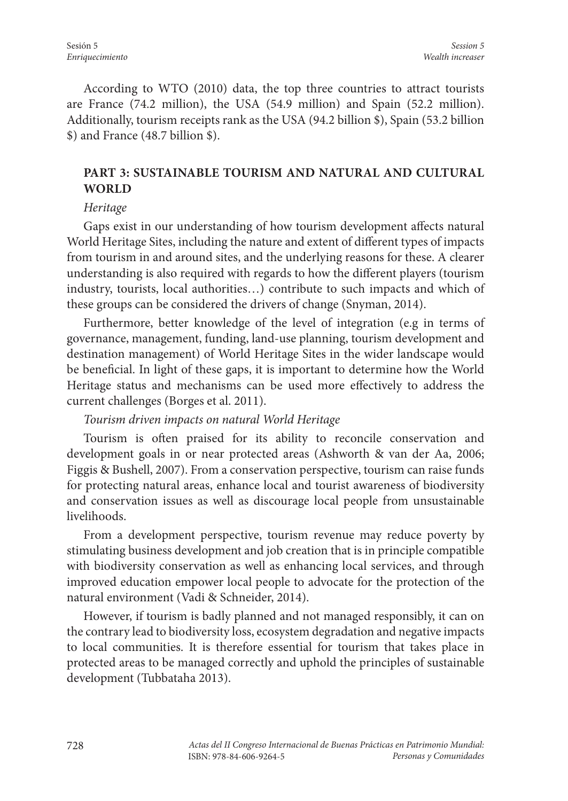According to WTO (2010) data, the top three countries to attract tourists are France (74.2 million), the USA (54.9 million) and Spain (52.2 million). Additionally, tourism receipts rank as the USA (94.2 billion \$), Spain (53.2 billion \$) and France (48.7 billion \$).

# **PART 3: SUSTAINABLE TOURISM AND NATURAL AND CULTURAL WORLD**

### *Heritage*

Gaps exist in our understanding of how tourism development affects natural World Heritage Sites, including the nature and extent of different types of impacts from tourism in and around sites, and the underlying reasons for these. A clearer understanding is also required with regards to how the different players (tourism industry, tourists, local authorities…) contribute to such impacts and which of these groups can be considered the drivers of change (Snyman, 2014).

Furthermore, better knowledge of the level of integration (e.g in terms of governance, management, funding, land-use planning, tourism development and destination management) of World Heritage Sites in the wider landscape would be beneficial. In light of these gaps, it is important to determine how the World Heritage status and mechanisms can be used more effectively to address the current challenges (Borges et al. 2011).

# *Tourism driven impacts on natural World Heritage*

Tourism is often praised for its ability to reconcile conservation and development goals in or near protected areas (Ashworth & van der Aa, 2006; Figgis & Bushell, 2007). From a conservation perspective, tourism can raise funds for protecting natural areas, enhance local and tourist awareness of biodiversity and conservation issues as well as discourage local people from unsustainable livelihoods.

From a development perspective, tourism revenue may reduce poverty by stimulating business development and job creation that is in principle compatible with biodiversity conservation as well as enhancing local services, and through improved education empower local people to advocate for the protection of the natural environment (Vadi & Schneider, 2014).

However, if tourism is badly planned and not managed responsibly, it can on the contrary lead to biodiversity loss, ecosystem degradation and negative impacts to local communities. It is therefore essential for tourism that takes place in protected areas to be managed correctly and uphold the principles of sustainable development (Tubbataha 2013).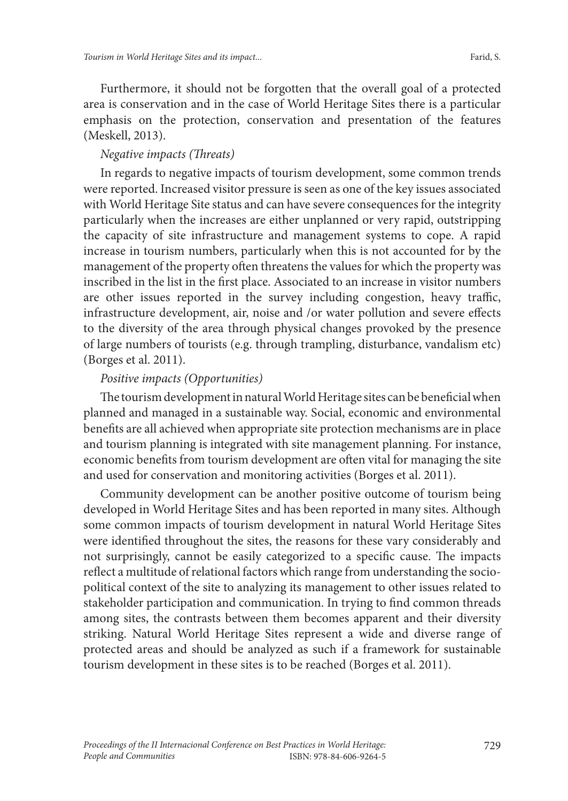Furthermore, it should not be forgotten that the overall goal of a protected area is conservation and in the case of World Heritage Sites there is a particular emphasis on the protection, conservation and presentation of the features (Meskell, 2013).

# *Negative impacts (Threats)*

In regards to negative impacts of tourism development, some common trends were reported. Increased visitor pressure is seen as one of the key issues associated with World Heritage Site status and can have severe consequences for the integrity particularly when the increases are either unplanned or very rapid, outstripping the capacity of site infrastructure and management systems to cope. A rapid increase in tourism numbers, particularly when this is not accounted for by the management of the property often threatens the values for which the property was inscribed in the list in the first place. Associated to an increase in visitor numbers are other issues reported in the survey including congestion, heavy traffic, infrastructure development, air, noise and /or water pollution and severe effects to the diversity of the area through physical changes provoked by the presence of large numbers of tourists (e.g. through trampling, disturbance, vandalism etc) (Borges et al. 2011).

# *Positive impacts (Opportunities)*

The tourism development in natural World Heritage sites can be beneficial when planned and managed in a sustainable way. Social, economic and environmental benefits are all achieved when appropriate site protection mechanisms are in place and tourism planning is integrated with site management planning. For instance, economic benefits from tourism development are often vital for managing the site and used for conservation and monitoring activities (Borges et al. 2011).

Community development can be another positive outcome of tourism being developed in World Heritage Sites and has been reported in many sites. Although some common impacts of tourism development in natural World Heritage Sites were identified throughout the sites, the reasons for these vary considerably and not surprisingly, cannot be easily categorized to a specific cause. The impacts reflect a multitude of relational factors which range from understanding the sociopolitical context of the site to analyzing its management to other issues related to stakeholder participation and communication. In trying to find common threads among sites, the contrasts between them becomes apparent and their diversity striking. Natural World Heritage Sites represent a wide and diverse range of protected areas and should be analyzed as such if a framework for sustainable tourism development in these sites is to be reached (Borges et al. 2011).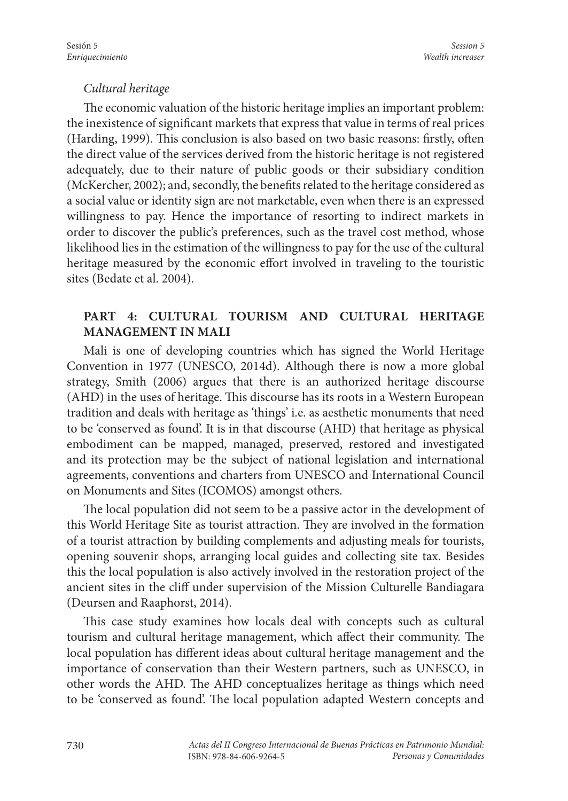#### *Cultural heritage*

The economic valuation of the historic heritage implies an important problem: the inexistence of significant markets that express that value in terms of real prices (Harding, 1999). This conclusion is also based on two basic reasons: firstly, often the direct value of the services derived from the historic heritage is not registered adequately, due to their nature of public goods or their subsidiary condition (McKercher, 2002); and, secondly, the benefits related to the heritage considered as a social value or identity sign are not marketable, even when there is an expressed willingness to pay. Hence the importance of resorting to indirect markets in order to discover the public's preferences, such as the travel cost method, whose likelihood lies in the estimation of the willingness to pay for the use of the cultural heritage measured by the economic effort involved in traveling to the touristic sites (Bedate et al. 2004).

# **PART 4: CULTURAL TOURISM AND CULTURAL HERITAGE MANAGEMENT IN MALI**

Mali is one of developing countries which has signed the World Heritage Convention in 1977 (UNESCO, 2014d). Although there is now a more global strategy, Smith (2006) argues that there is an authorized heritage discourse (AHD) in the uses of heritage. This discourse has its roots in a Western European tradition and deals with heritage as 'things' i.e. as aesthetic monuments that need to be 'conserved as found'. It is in that discourse (AHD) that heritage as physical embodiment can be mapped, managed, preserved, restored and investigated and its protection may be the subject of national legislation and international agreements, conventions and charters from UNESCO and International Council on Monuments and Sites (ICOMOS) amongst others.

The local population did not seem to be a passive actor in the development of this World Heritage Site as tourist attraction. They are involved in the formation of a tourist attraction by building complements and adjusting meals for tourists, opening souvenir shops, arranging local guides and collecting site tax. Besides this the local population is also actively involved in the restoration project of the ancient sites in the cliff under supervision of the Mission Culturelle Bandiagara (Deursen and Raaphorst, 2014).

This case study examines how locals deal with concepts such as cultural tourism and cultural heritage management, which affect their community. The local population has different ideas about cultural heritage management and the importance of conservation than their Western partners, such as UNESCO, in other words the AHD. The AHD conceptualizes heritage as things which need to be 'conserved as found'. The local population adapted Western concepts and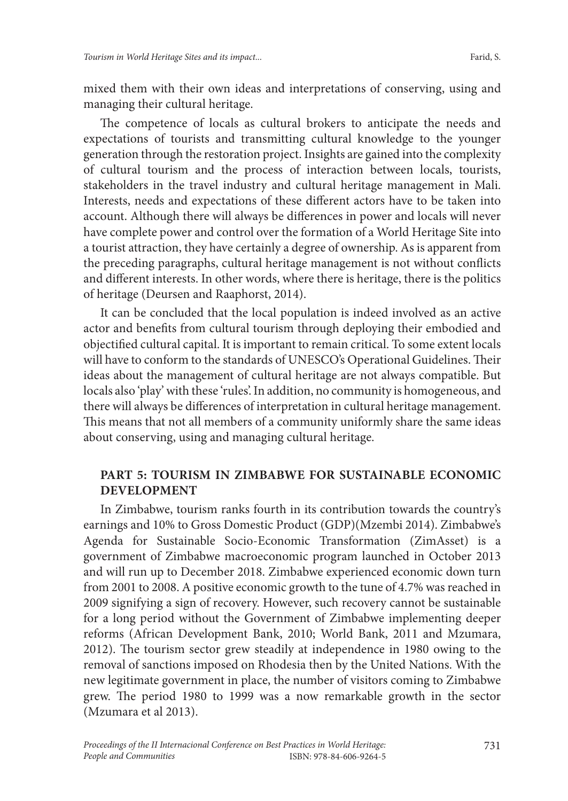mixed them with their own ideas and interpretations of conserving, using and managing their cultural heritage.

The competence of locals as cultural brokers to anticipate the needs and expectations of tourists and transmitting cultural knowledge to the younger generation through the restoration project. Insights are gained into the complexity of cultural tourism and the process of interaction between locals, tourists, stakeholders in the travel industry and cultural heritage management in Mali. Interests, needs and expectations of these different actors have to be taken into account. Although there will always be differences in power and locals will never have complete power and control over the formation of a World Heritage Site into a tourist attraction, they have certainly a degree of ownership. As is apparent from the preceding paragraphs, cultural heritage management is not without conflicts and different interests. In other words, where there is heritage, there is the politics of heritage (Deursen and Raaphorst, 2014).

It can be concluded that the local population is indeed involved as an active actor and benefits from cultural tourism through deploying their embodied and objectified cultural capital. It is important to remain critical. To some extent locals will have to conform to the standards of UNESCO's Operational Guidelines. Their ideas about the management of cultural heritage are not always compatible. But locals also 'play' with these 'rules'. In addition, no community is homogeneous, and there will always be differences of interpretation in cultural heritage management. This means that not all members of a community uniformly share the same ideas about conserving, using and managing cultural heritage.

# **PART 5: TOURISM IN ZIMBABWE FOR SUSTAINABLE ECONOMIC DEVELOPMENT**

In Zimbabwe, tourism ranks fourth in its contribution towards the country's earnings and 10% to Gross Domestic Product (GDP)(Mzembi 2014). Zimbabwe's Agenda for Sustainable Socio-Economic Transformation (ZimAsset) is a government of Zimbabwe macroeconomic program launched in October 2013 and will run up to December 2018. Zimbabwe experienced economic down turn from 2001 to 2008. A positive economic growth to the tune of 4.7% was reached in 2009 signifying a sign of recovery. However, such recovery cannot be sustainable for a long period without the Government of Zimbabwe implementing deeper reforms (African Development Bank, 2010; World Bank, 2011 and Mzumara, 2012). The tourism sector grew steadily at independence in 1980 owing to the removal of sanctions imposed on Rhodesia then by the United Nations. With the new legitimate government in place, the number of visitors coming to Zimbabwe grew. The period 1980 to 1999 was a now remarkable growth in the sector (Mzumara et al 2013).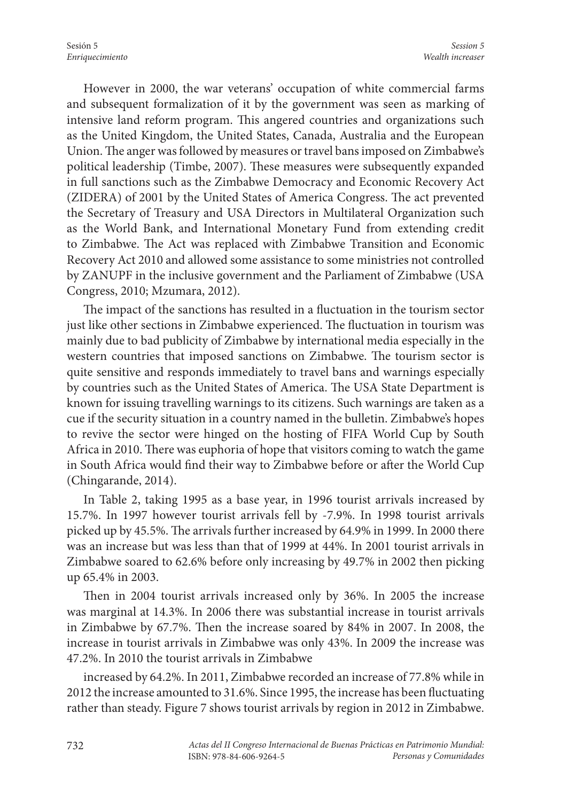However in 2000, the war veterans' occupation of white commercial farms and subsequent formalization of it by the government was seen as marking of intensive land reform program. This angered countries and organizations such as the United Kingdom, the United States, Canada, Australia and the European Union. The anger was followed by measures or travel bans imposed on Zimbabwe's political leadership (Timbe, 2007). These measures were subsequently expanded in full sanctions such as the Zimbabwe Democracy and Economic Recovery Act (ZIDERA) of 2001 by the United States of America Congress. The act prevented the Secretary of Treasury and USA Directors in Multilateral Organization such as the World Bank, and International Monetary Fund from extending credit to Zimbabwe. The Act was replaced with Zimbabwe Transition and Economic Recovery Act 2010 and allowed some assistance to some ministries not controlled by ZANUPF in the inclusive government and the Parliament of Zimbabwe (USA Congress, 2010; Mzumara, 2012).

The impact of the sanctions has resulted in a fluctuation in the tourism sector just like other sections in Zimbabwe experienced. The fluctuation in tourism was mainly due to bad publicity of Zimbabwe by international media especially in the western countries that imposed sanctions on Zimbabwe. The tourism sector is quite sensitive and responds immediately to travel bans and warnings especially by countries such as the United States of America. The USA State Department is known for issuing travelling warnings to its citizens. Such warnings are taken as a cue if the security situation in a country named in the bulletin. Zimbabwe's hopes to revive the sector were hinged on the hosting of FIFA World Cup by South Africa in 2010. There was euphoria of hope that visitors coming to watch the game in South Africa would find their way to Zimbabwe before or after the World Cup (Chingarande, 2014).

In Table 2, taking 1995 as a base year, in 1996 tourist arrivals increased by 15.7%. In 1997 however tourist arrivals fell by -7.9%. In 1998 tourist arrivals picked up by 45.5%. The arrivals further increased by 64.9% in 1999. In 2000 there was an increase but was less than that of 1999 at 44%. In 2001 tourist arrivals in Zimbabwe soared to 62.6% before only increasing by 49.7% in 2002 then picking up 65.4% in 2003.

Then in 2004 tourist arrivals increased only by 36%. In 2005 the increase was marginal at 14.3%. In 2006 there was substantial increase in tourist arrivals in Zimbabwe by 67.7%. Then the increase soared by 84% in 2007. In 2008, the increase in tourist arrivals in Zimbabwe was only 43%. In 2009 the increase was 47.2%. In 2010 the tourist arrivals in Zimbabwe

increased by 64.2%. In 2011, Zimbabwe recorded an increase of 77.8% while in 2012 the increase amounted to 31.6%. Since 1995, the increase has been fluctuating rather than steady. Figure 7 shows tourist arrivals by region in 2012 in Zimbabwe.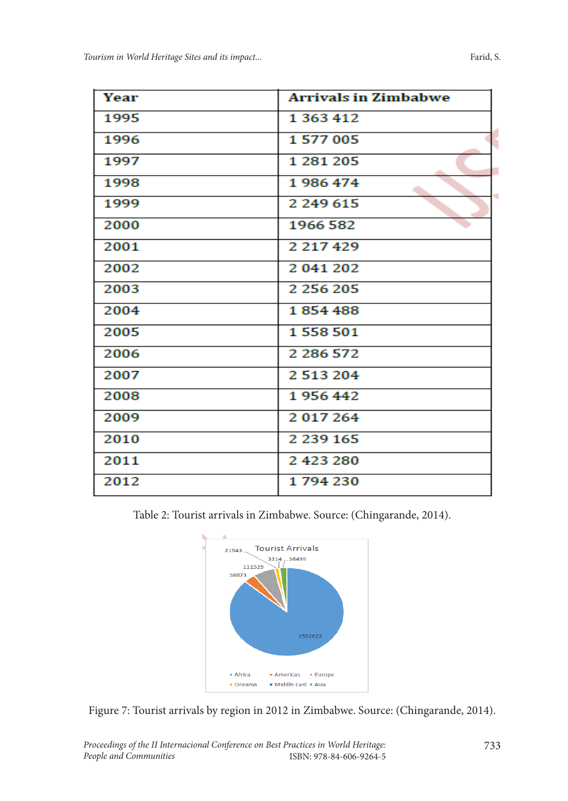| Year | <b>Arrivals in Zimbabwe</b> |
|------|-----------------------------|
| 1995 | 1 363 412                   |
| 1996 | 1577005                     |
| 1997 | 1 281 205                   |
| 1998 | 1986474                     |
| 1999 | 2 249 615                   |
| 2000 | 1966 582                    |
| 2001 | 2 217 429                   |
| 2002 | 2 041 202                   |
| 2003 | 2 256 205                   |
| 2004 | 1854488                     |
| 2005 | 1558501                     |
| 2006 | 2 286 572                   |
| 2007 | 2513204                     |
| 2008 | 1956442                     |
| 2009 | 2017264                     |
| 2010 | 2 239 165                   |
| 2011 | 2423280                     |
| 2012 | 1794230                     |

Table 2: Tourist arrivals in Zimbabwe. Source: (Chingarande, 2014).



Figure 7: Tourist arrivals by region in 2012 in Zimbabwe. Source: (Chingarande, 2014).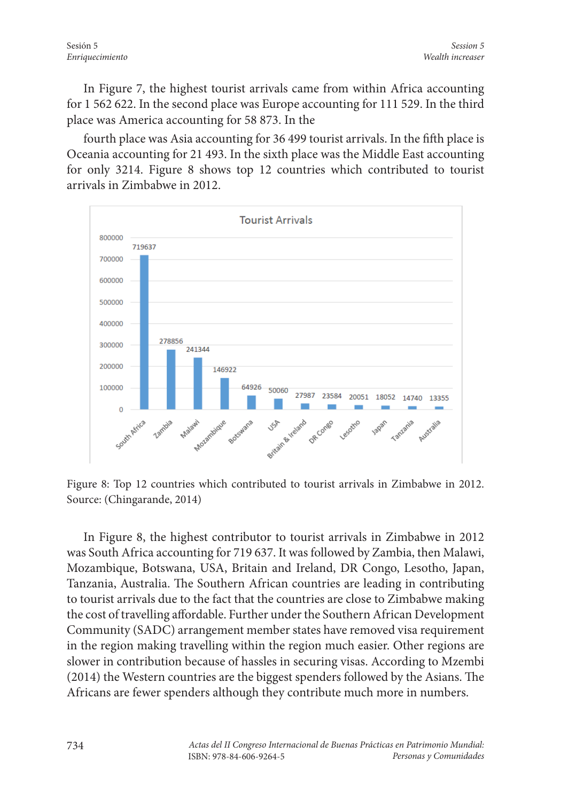*Session 5*

In Figure 7, the highest tourist arrivals came from within Africa accounting for 1 562 622. In the second place was Europe accounting for 111 529. In the third place was America accounting for 58 873. In the

fourth place was Asia accounting for 36 499 tourist arrivals. In the fifth place is Oceania accounting for 21 493. In the sixth place was the Middle East accounting for only 3214. Figure 8 shows top 12 countries which contributed to tourist arrivals in Zimbabwe in 2012.



Figure 8: Top 12 countries which contributed to tourist arrivals in Zimbabwe in 2012. Source: (Chingarande, 2014)

In Figure 8, the highest contributor to tourist arrivals in Zimbabwe in 2012 was South Africa accounting for 719 637. It was followed by Zambia, then Malawi, Mozambique, Botswana, USA, Britain and Ireland, DR Congo, Lesotho, Japan, Tanzania, Australia. The Southern African countries are leading in contributing to tourist arrivals due to the fact that the countries are close to Zimbabwe making the cost of travelling affordable. Further under the Southern African Development Community (SADC) arrangement member states have removed visa requirement in the region making travelling within the region much easier. Other regions are slower in contribution because of hassles in securing visas. According to Mzembi (2014) the Western countries are the biggest spenders followed by the Asians. The Africans are fewer spenders although they contribute much more in numbers.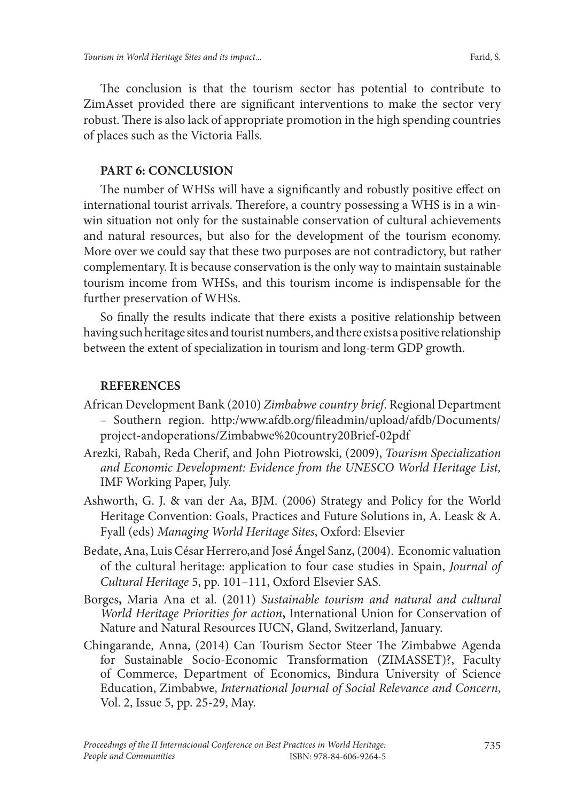The conclusion is that the tourism sector has potential to contribute to ZimAsset provided there are significant interventions to make the sector very robust. There is also lack of appropriate promotion in the high spending countries of places such as the Victoria Falls.

#### **PART 6: CONCLUSION**

The number of WHSs will have a significantly and robustly positive effect on international tourist arrivals. Therefore, a country possessing a WHS is in a winwin situation not only for the sustainable conservation of cultural achievements and natural resources, but also for the development of the tourism economy. More over we could say that these two purposes are not contradictory, but rather complementary. It is because conservation is the only way to maintain sustainable tourism income from WHSs, and this tourism income is indispensable for the further preservation of WHSs.

So finally the results indicate that there exists a positive relationship between having such heritage sites and tourist numbers, and there exists a positive relationship between the extent of specialization in tourism and long-term GDP growth.

#### **REFERENCES**

- African Development Bank (2010) *Zimbabwe country brief*. Regional Department – Southern region. http:/www.afdb.org/fileadmin/upload/afdb/Documents/ project-andoperations/Zimbabwe%20country20Brief-02pdf
- Arezki, Rabah, Reda Cherif, and John Piotrowski, (2009), *Tourism Specialization and Economic Development: Evidence from the UNESCO World Heritage List,* IMF Working Paper, July.
- Ashworth, G. J. & van der Aa, BJM. (2006) Strategy and Policy for the World Heritage Convention: Goals, Practices and Future Solutions in, A. Leask & A. Fyall (eds) *Managing World Heritage Sites*, Oxford: Elsevier
- Bedate, Ana, Luis César Herrero,and José Ángel Sanz, (2004). Economic valuation of the cultural heritage: application to four case studies in Spain, *Journal of Cultural Heritage* 5, pp. 101–111, Oxford Elsevier SAS.
- Borges**,** Maria Ana et al. (2011) *Sustainable tourism and natural and cultural World Heritage Priorities for action***,** International Union for Conservation of Nature and Natural Resources IUCN, Gland, Switzerland, January.
- Chingarande, Anna, (2014) Can Tourism Sector Steer The Zimbabwe Agenda for Sustainable Socio-Economic Transformation (ZIMASSET)?, Faculty of Commerce, Department of Economics, Bindura University of Science Education, Zimbabwe, *International Journal of Social Relevance and Concern*, Vol. 2, Issue 5, pp. 25-29, May.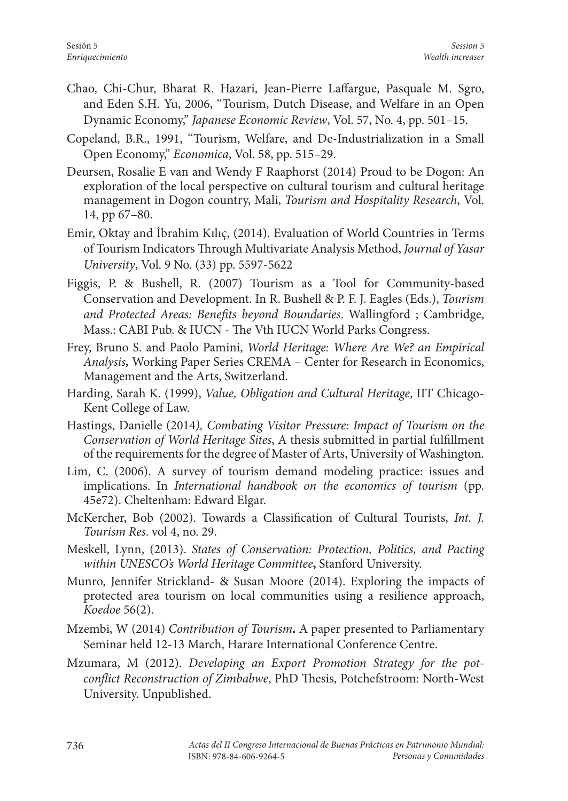- Chao, Chi-Chur, Bharat R. Hazari, Jean-Pierre Laffargue, Pasquale M. Sgro, and Eden S.H. Yu, 2006, "Tourism, Dutch Disease, and Welfare in an Open Dynamic Economy," *Japanese Economic Review*, Vol. 57, No. 4, pp. 501–15.
- Copeland, B.R., 1991, "Tourism, Welfare, and De-Industrialization in a Small Open Economy," *Economica*, Vol. 58, pp. 515–29.
- Deursen, Rosalie E van and Wendy F Raaphorst (2014) Proud to be Dogon: An exploration of the local perspective on cultural tourism and cultural heritage management in Dogon country, Mali, *Tourism and Hospitality Research*, Vol. 14, pp 67–80.
- Emir, Oktay and İbrahim Kılıç, (2014). Evaluation of World Countries in Terms of Tourism Indicators Through Multivariate Analysis Method, *Journal of Yasar University*, Vol. 9 No. (33) pp. 5597-5622
- Figgis, P. & Bushell, R. (2007) Tourism as a Tool for Community-based Conservation and Development. In R. Bushell & P. F. J. Eagles (Eds.), *Tourism and Protected Areas: Benefits beyond Boundaries*. Wallingford ; Cambridge, Mass.: CABI Pub. & IUCN - The Vth IUCN World Parks Congress.
- Frey, Bruno S. and Paolo Pamini, *World Heritage: Where Are We? an Empirical Analysis,* Working Paper Series CREMA – Center for Research in Economics, Management and the Arts, Switzerland.
- Harding, Sarah K. (1999), *Value, Obligation and Cultural Heritage*, IIT Chicago-Kent College of Law.
- Hastings, Danielle (2014*), Combating Visitor Pressure: Impact of Tourism on the Conservation of World Heritage Sites*, A thesis submitted in partial fulfillment of the requirements for the degree of Master of Arts, University of Washington.
- Lim, C. (2006). A survey of tourism demand modeling practice: issues and implications. In *International handbook on the economics of tourism* (pp. 45e72). Cheltenham: Edward Elgar.
- McKercher, Bob (2002). Towards a Classification of Cultural Tourists, *Int. J. Tourism Res*. vol 4, no. 29.
- Meskell, Lynn, (2013). *States of Conservation: Protection, Politics, and Pacting within UNESCO's World Heritage Committee***,** Stanford University.
- Munro, Jennifer Strickland- & Susan Moore (2014). Exploring the impacts of protected area tourism on local communities using a resilience approach, *Koedoe* 56(2).
- Mzembi, W (2014) *Contribution of Tourism***.** A paper presented to Parliamentary Seminar held 12-13 March, Harare International Conference Centre.
- Mzumara, M (2012). *Developing an Export Promotion Strategy for the potconflict Reconstruction of Zimbabwe*, PhD Thesis, Potchefstroom: North-West University. Unpublished.